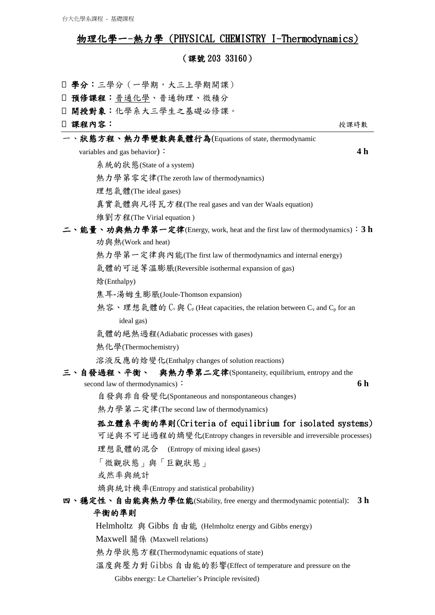## 物理化學一-熱力學 (PHYSICAL CHEMISTRY I-Thermodynamics)

## (課號 203 33160)

- 學分:三學分(一學期,大三上學期開課)
- 預修課程:普通化學、普通物理、微積分
- 開授對象:化學系大三學生之基礎必修課。
- 

| □ 課程內容:                                                                              | 授課時數           |
|--------------------------------------------------------------------------------------|----------------|
| 一、狀態方程、熱力學變數與氣體行為(Equations of state, thermodynamic                                  |                |
| variables and gas behavior) :                                                        | 4 h            |
| 系統的狀態(State of a system)                                                             |                |
| 熱力學第零定律(The zeroth law of thermodynamics)                                            |                |
| 理想氣體(The ideal gases)                                                                |                |
| 真實氣體與凡得瓦方程(The real gases and van der Waals equation)                                |                |
| 維劉方程(The Virial equation)                                                            |                |
| 二丶能量丶功與熱力學第一定律(Energy, work, heat and the first law of thermodynamics):3 h           |                |
| 功與熱(Work and heat)                                                                   |                |
| 熱力學第一定律與內能(The first law of thermodynamics and internal energy)                      |                |
| 氣體的可逆等溫膨脹(Reversible isothermal expansion of gas)                                    |                |
| 焓(Enthalpy)                                                                          |                |
| 焦耳-湯姆生膨脹(Joule-Thomson expansion)                                                    |                |
| 熱容、理想氣體的 $C_v$ 與 $C_p$ (Heat capacities, the relation between $C_v$ and $C_p$ for an |                |
| ideal gas)                                                                           |                |
| 氣體的絕熱過程(Adiabatic processes with gases)                                              |                |
| 熱化學(Thermochemistry)                                                                 |                |
| 溶液反應的焓變化(Enthalpy changes of solution reactions)                                     |                |
| 三、自發過程、平衡、 與熱力學第二定律(Spontaneity, equilibrium, entropy and the                        |                |
| second law of thermodynamics):                                                       | 6 h            |
| 自發與非自發變化(Spontaneous and nonspontaneous changes)                                     |                |
| 熱力學第二定律(The second law of thermodynamics)                                            |                |
| 孤立體系平衡的準則(Criteria of equilibrium for isolated systems)                              |                |
| 可逆與不可逆過程的熵變化(Entropy changes in reversible and irreversible processes)               |                |
| 理想氣體的混合 (Entropy of mixing ideal gases)                                              |                |
| 「微觀狀態」與「巨觀狀態」                                                                        |                |
| 或然率與統計                                                                               |                |
| 熵與統計機率(Entropy and statistical probability)                                          |                |
| 四、穩定性、自由能與熱力學位能(Stability, free energy and thermodynamic potential):                 | 3 <sub>h</sub> |
| 平衡的準則                                                                                |                |
| Helmholtz 與 Gibbs 自由能 (Helmholtz energy and Gibbs energy)                            |                |
| Maxwell 關係 (Maxwell relations)                                                       |                |
| 熱力學狀態方程(Thermodynamic equations of state)                                            |                |

溫度與壓力對 Gibbs 自由能的影響(Effect of temperature and pressure on the

Gibbs energy: Le Chartelier's Principle revisited)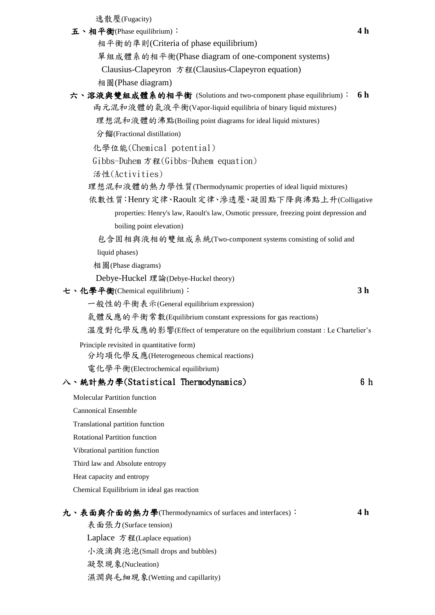逸散壓(Fugacity)

- 五、相平衡(Phase equilibrium): **4 h**
	- 相平衡的準則(Criteria of phase equilibrium)
	- 單組成體系的相平衡(Phase diagram of one-component systems)
	- Clausius-Clapeyron 方程(Clausius-Clapeyron equation)

相圖(Phase diagram)

- 六、溶液與雙組成體系的相平衡 (Solutions and two-component phase equilibrium): **6 h**
	- 兩元混和液體的氣液平衡(Vapor-liquid equilibria of binary liquid mixtures)
		- 理想混和液體的沸點(Boiling point diagrams for ideal liquid mixtures)

分餾(Fractional distillation)

- 化學位能(Chemical potential)
- Gibbs-Duhem 方程(Gibbs-Duhem equation)
- 活性(Activities)
- 理想混和液體的熱力學性質(Thermodynamic properties of ideal liquid mixtures)
- 依數性質:Henry定律、Raoult定律、滲透壓、凝固點下降與沸點上升(Colligative
	- properties: Henry's law, Raoult's law, Osmotic pressure, freezing point depression and boiling point elevation)
	- 包含固相與液相的雙組成系統(Two-component systems consisting of solid and liquid phases)

相圖(Phase diagrams)

Debye-Huckel 理論(Debye-Huckel theory)

- 七、化學平衡(Chemical equilibrium): **3 h**
- 

一般性的平衡表示(General equilibrium expression)

氣體反應的平衡常數(Equilibrium constant expressions for gas reactions)

溫度對化學反應的影響(Effect of temperature on the equilibrium constant : Le Chartelier's

Principle revisited in quantitative form)

分均項化學反應(Heterogeneous chemical reactions)

電化學平衡(Electrochemical equilibrium)

## 八、統計熱力學(Statistical Thermodynamics) 6 h

Molecular Partition function

Cannonical Ensemble

Translational partition function

Rotational Partition function

Vibrational partition function

Third law and Absolute entropy

Heat capacity and entropy

Chemical Equilibrium in ideal gas reaction

## 九、表面與介面的熱力學(Thermodynamics of surfaces and interfaces): **4 h**

表面張力(Surface tension) Laplace 方程(Laplace equation) 小液滴與泡泡(Small drops and bubbles) 凝聚現象(Nucleation) 濕潤與毛細現象(Wetting and capillarity)